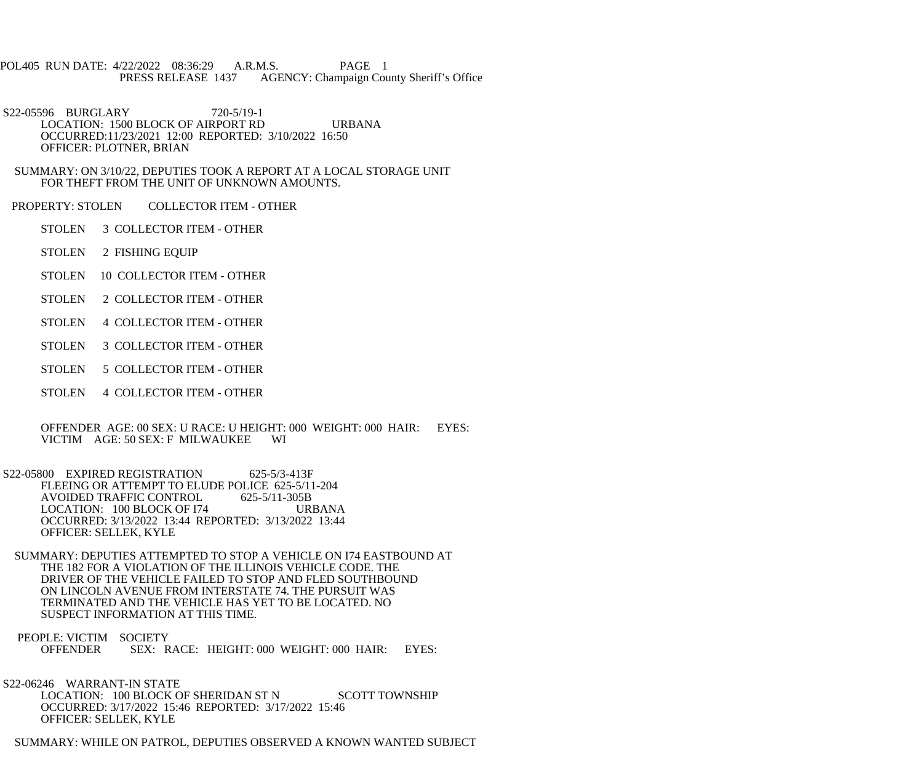POL405 RUN DATE: 4/22/2022 08:36:29 A.R.M.S. PAGE 1 PRESS RELEASE 1437 AGENCY: Champaign County Sheriff's Office

 S22-05596 BURGLARY 720-5/19-1 LOCATION: 1500 BLOCK OF AIRPORT RD URBANA OCCURRED:11/23/2021 12:00 REPORTED: 3/10/2022 16:50 OFFICER: PLOTNER, BRIAN

 SUMMARY: ON 3/10/22, DEPUTIES TOOK A REPORT AT A LOCAL STORAGE UNIT FOR THEFT FROM THE UNIT OF UNKNOWN AMOUNTS.

PROPERTY: STOLEN COLLECTOR ITEM - OTHER

STOLEN 3 COLLECTOR ITEM - OTHER

STOLEN 2 FISHING EQUIP

STOLEN 10 COLLECTOR ITEM - OTHER

STOLEN 2 COLLECTOR ITEM - OTHER

STOLEN 4 COLLECTOR ITEM - OTHER

STOLEN 3 COLLECTOR ITEM - OTHER

STOLEN 5 COLLECTOR ITEM - OTHER

STOLEN 4 COLLECTOR ITEM - OTHER

 OFFENDER AGE: 00 SEX: U RACE: U HEIGHT: 000 WEIGHT: 000 HAIR: EYES: VICTIM AGE: 50 SEX: F MILWAUKEE WI

S22-05800 EXPIRED REGISTRATION 625-5/3-413F FLEEING OR ATTEMPT TO ELUDE POLICE 625-5/11-204<br>AVOIDED TRAFFIC CONTROL 625-5/11-305B AVOIDED TRAFFIC CONTROL LOCATION: 100 BLOCK OF I74 URBANA OCCURRED: 3/13/2022 13:44 REPORTED: 3/13/2022 13:44 OFFICER: SELLEK, KYLE

 SUMMARY: DEPUTIES ATTEMPTED TO STOP A VEHICLE ON I74 EASTBOUND AT THE 182 FOR A VIOLATION OF THE ILLINOIS VEHICLE CODE. THE DRIVER OF THE VEHICLE FAILED TO STOP AND FLED SOUTHBOUND ON LINCOLN AVENUE FROM INTERSTATE 74. THE PURSUIT WAS TERMINATED AND THE VEHICLE HAS YET TO BE LOCATED. NO SUSPECT INFORMATION AT THIS TIME.

 PEOPLE: VICTIM SOCIETY OFFENDER SEX: RACE: HEIGHT: 000 WEIGHT: 000 HAIR: EYES:

 S22-06246 WARRANT-IN STATE LOCATION: 100 BLOCK OF SHERIDAN ST N SCOTT TOWNSHIP OCCURRED: 3/17/2022 15:46 REPORTED: 3/17/2022 15:46 OFFICER: SELLEK, KYLE

SUMMARY: WHILE ON PATROL, DEPUTIES OBSERVED A KNOWN WANTED SUBJECT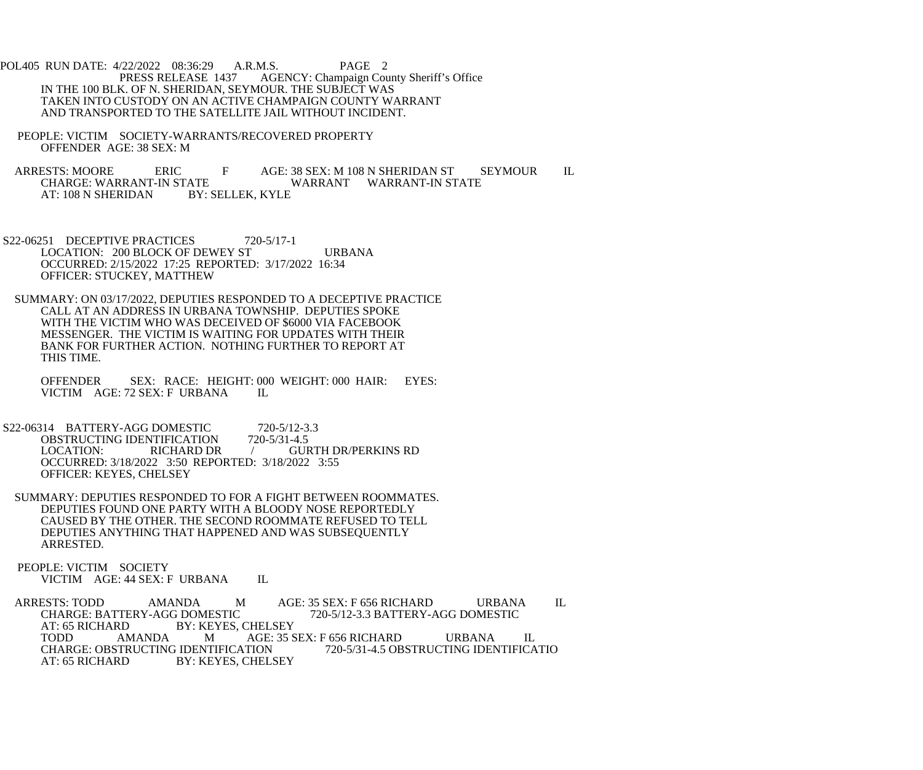POL405 RUN DATE: 4/22/2022 08:36:29 A.R.M.S. PAGE 2<br>PRESS RELEASE 1437 AGENCY: Champaign Cou AGENCY: Champaign County Sheriff's Office IN THE 100 BLK. OF N. SHERIDAN, SEYMOUR. THE SUBJECT WAS TAKEN INTO CUSTODY ON AN ACTIVE CHAMPAIGN COUNTY WARRANT AND TRANSPORTED TO THE SATELLITE JAIL WITHOUT INCIDENT.

 PEOPLE: VICTIM SOCIETY-WARRANTS/RECOVERED PROPERTY OFFENDER AGE: 38 SEX: M

ARRESTS: MOORE ERIC F AGE: 38 SEX: M 108 N SHERIDAN ST SEYMOUR IL CHARGE: WARRANT WARRANT WARRANT-IN STATE ATE WARRANT WARRANT-IN STATE<br>BY: SELLEK. KYLE AT: 108 N SHERIDAN

- S22-06251 DECEPTIVE PRACTICES 720-5/17-1 LOCATION: 200 BLOCK OF DEWEY ST URBANA OCCURRED: 2/15/2022 17:25 REPORTED: 3/17/2022 16:34 OFFICER: STUCKEY, MATTHEW
- SUMMARY: ON 03/17/2022, DEPUTIES RESPONDED TO A DECEPTIVE PRACTICE CALL AT AN ADDRESS IN URBANA TOWNSHIP. DEPUTIES SPOKE WITH THE VICTIM WHO WAS DECEIVED OF \$6000 VIA FACEBOOK MESSENGER. THE VICTIM IS WAITING FOR UPDATES WITH THEIR BANK FOR FURTHER ACTION. NOTHING FURTHER TO REPORT AT THIS TIME.

 OFFENDER SEX: RACE: HEIGHT: 000 WEIGHT: 000 HAIR: EYES: VICTIM AGE: 72 SEX: F URBANA IL

- S22-06314 BATTERY-AGG DOMESTIC 720-5/12-3.3<br>OBSTRUCTING IDENTIFICATION 720-5/31-4.5 OBSTRUCTING IDENTIFICATION<br>LOCATION: RICHARD DR / GURTH DR/PERKINS RD OCCURRED: 3/18/2022 3:50 REPORTED: 3/18/2022 3:55 OFFICER: KEYES, CHELSEY
- SUMMARY: DEPUTIES RESPONDED TO FOR A FIGHT BETWEEN ROOMMATES. DEPUTIES FOUND ONE PARTY WITH A BLOODY NOSE REPORTEDLY CAUSED BY THE OTHER. THE SECOND ROOMMATE REFUSED TO TELL DEPUTIES ANYTHING THAT HAPPENED AND WAS SUBSEQUENTLY ARRESTED.

 PEOPLE: VICTIM SOCIETY VICTIM AGE: 44 SEX: F URBANA IL

ARRESTS: TODD AMANDA M AGE: 35 SEX: F 656 RICHARD URBANA IL CHARGE: BATTERY-AGG DOMESTIC 720-5/12-3.3 BATTERY-AGG DOMESTIC CHARGE: BATTERY-AGG DOMESTIC 720-5/12-3.3 BATTERY-AGG DOMESTIC<br>AT: 65 RICHARD BY: KEYES. CHELSEY AT: 65 RICHARD BY: KEYES, CHELSEY<br>TODD AMANDA M AGE: 35 S TODD AMANDA M AGE: 35 SEX: F 656 RICHARD URBANA IL<br>CHARGE: OBSTRUCTING IDENTIFICATION 720-5/31-4.5 OBSTRUCTING IDENTIFICA CHARGE: OBSTRUCTING IDENTIFICATION 720-5/31-4.5 OBSTRUCTING IDENTIFICATIO<br>AT: 65 RICHARD BY: KEYES. CHELSEY BY: KEYES, CHELSEY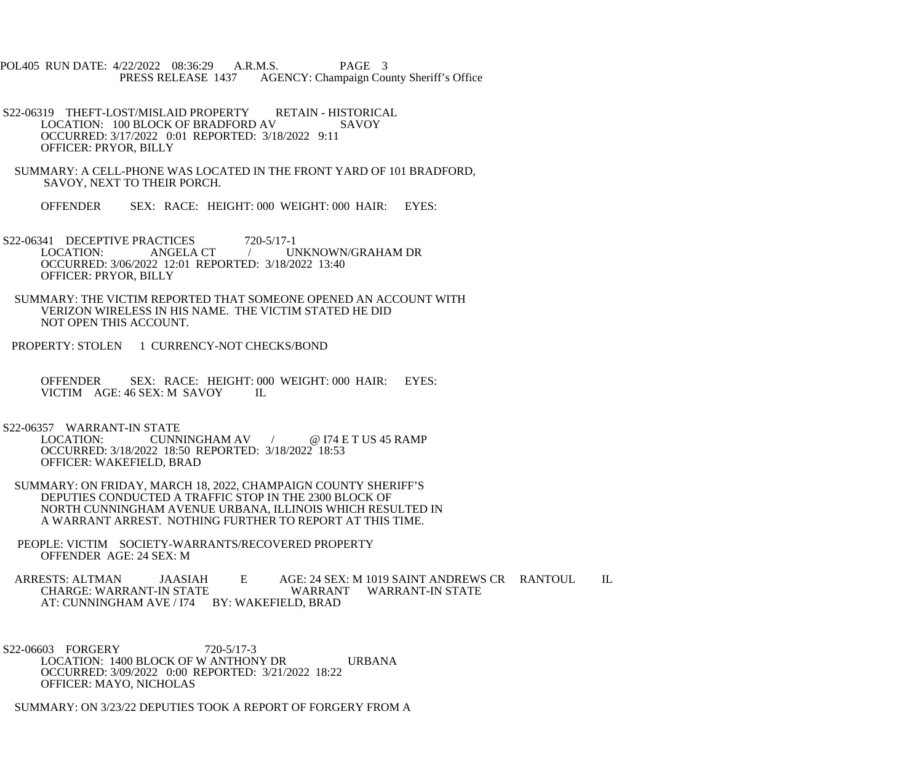POL405 RUN DATE: 4/22/2022 08:36:29 A.R.M.S. PAGE 3 PRESS RELEASE 1437 AGENCY: Champaign County Sheriff's Office

- S22-06319 THEFT-LOST/MISLAID PROPERTY RETAIN HISTORICAL LOCATION: 100 BLOCK OF BRADFORD AV SAVOY OCCURRED: 3/17/2022 0:01 REPORTED: 3/18/2022 9:11 OFFICER: PRYOR, BILLY
- SUMMARY: A CELL-PHONE WAS LOCATED IN THE FRONT YARD OF 101 BRADFORD, SAVOY, NEXT TO THEIR PORCH.
	- OFFENDER SEX: RACE: HEIGHT: 000 WEIGHT: 000 HAIR: EYES:
- S22-06341 DECEPTIVE PRACTICES 720-5/17-1<br>LOCATION: ANGELA CT / UI / UNKNOWN/GRAHAM DR OCCURRED: 3/06/2022 12:01 REPORTED: 3/18/2022 13:40 OFFICER: PRYOR, BILLY
- SUMMARY: THE VICTIM REPORTED THAT SOMEONE OPENED AN ACCOUNT WITH VERIZON WIRELESS IN HIS NAME. THE VICTIM STATED HE DID NOT OPEN THIS ACCOUNT.
- PROPERTY: STOLEN 1 CURRENCY-NOT CHECKS/BOND

 OFFENDER SEX: RACE: HEIGHT: 000 WEIGHT: 000 HAIR: EYES: VICTIM AGE: 46 SEX: M SAVOY IL

- S22-06357 WARRANT-IN STATE<br>LOCATION: CUNN
	- CUNNINGHAM AV / @ I74 E T US 45 RAMP OCCURRED: 3/18/2022 18:50 REPORTED: 3/18/2022 18:53 OFFICER: WAKEFIELD, BRAD
- SUMMARY: ON FRIDAY, MARCH 18, 2022, CHAMPAIGN COUNTY SHERIFF'S DEPUTIES CONDUCTED A TRAFFIC STOP IN THE 2300 BLOCK OF NORTH CUNNINGHAM AVENUE URBANA, ILLINOIS WHICH RESULTED IN A WARRANT ARREST. NOTHING FURTHER TO REPORT AT THIS TIME.
- PEOPLE: VICTIM SOCIETY-WARRANTS/RECOVERED PROPERTY OFFENDER AGE: 24 SEX: M

ARRESTS: ALTMAN JAASIAH E AGE: 24 SEX: M 1019 SAINT ANDREWS CR RANTOUL IL<br>CHARGE: WARRANT-IN STATE WARRANT WARRANT-IN STATE WARRANT WARRANT-IN STATE AT: CUNNINGHAM AVE / I74 BY: WAKEFIELD, BRAD

 S22-06603 FORGERY 720-5/17-3 LOCATION: 1400 BLOCK OF W ANTHONY DR URBANA OCCURRED: 3/09/2022 0:00 REPORTED: 3/21/2022 18:22 OFFICER: MAYO, NICHOLAS

SUMMARY: ON 3/23/22 DEPUTIES TOOK A REPORT OF FORGERY FROM A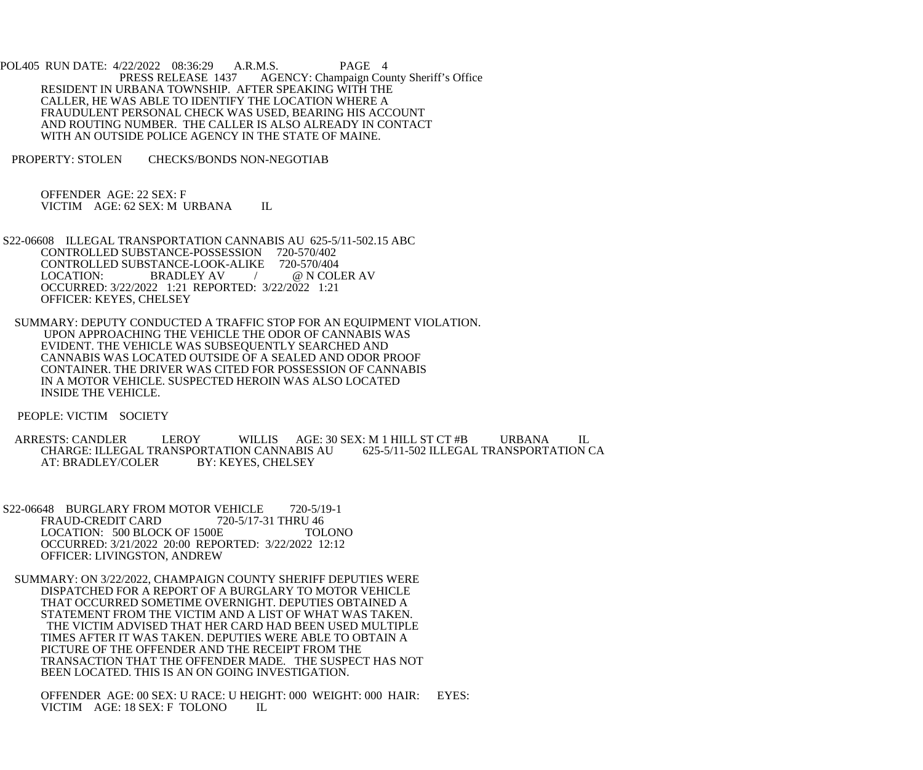POL405 RUN DATE: 4/22/2022 08:36:29 A.R.M.S. PAGE 4<br>PRESS RELEASE 1437 AGENCY: Champaign Cou AGENCY: Champaign County Sheriff's Office RESIDENT IN URBANA TOWNSHIP. AFTER SPEAKING WITH THE CALLER, HE WAS ABLE TO IDENTIFY THE LOCATION WHERE A FRAUDULENT PERSONAL CHECK WAS USED, BEARING HIS ACCOUNT AND ROUTING NUMBER. THE CALLER IS ALSO ALREADY IN CONTACT WITH AN OUTSIDE POLICE AGENCY IN THE STATE OF MAINE.

PROPERTY: STOLEN CHECKS/BONDS NON-NEGOTIAB

 OFFENDER AGE: 22 SEX: F VICTIM AGE: 62 SEX: M URBANA IL

- S22-06608 ILLEGAL TRANSPORTATION CANNABIS AU 625-5/11-502.15 ABC CONTROLLED SUBSTANCE-POSSESSION 720-570/402 CONTROLLED SUBSTANCE-LOOK-ALIKE 720-570/404<br>LOCATION: BRADLEY AV / @ N COL / @ N COLER AV OCCURRED: 3/22/2022 1:21 REPORTED: 3/22/2022 1:21 OFFICER: KEYES, CHELSEY
- SUMMARY: DEPUTY CONDUCTED A TRAFFIC STOP FOR AN EQUIPMENT VIOLATION. UPON APPROACHING THE VEHICLE THE ODOR OF CANNABIS WAS EVIDENT. THE VEHICLE WAS SUBSEQUENTLY SEARCHED AND CANNABIS WAS LOCATED OUTSIDE OF A SEALED AND ODOR PROOF CONTAINER. THE DRIVER WAS CITED FOR POSSESSION OF CANNABIS IN A MOTOR VEHICLE. SUSPECTED HEROIN WAS ALSO LOCATED INSIDE THE VEHICLE.

PEOPLE: VICTIM SOCIETY

- ARRESTS: CANDLER LEROY WILLIS AGE: 30 SEX: M 1 HILL ST CT #B URBANA IL CHARGE: ILLEGAL TRANSPORTATION CANNABIS AU 625-5/11-502 ILLEGAL TRANSPORTATION CA<br>AT: BRADLEY/COLER BY: KEYES. CHELSEY BY: KEYES, CHELSEY
- S22-06648 BURGLARY FROM MOTOR VEHICLE 720-5/19-1<br>FRAUD-CREDIT CARD 720-5/17-31 THRU 46 FRAUD-CREDIT CARD LOCATION: 500 BLOCK OF 1500E TOLONO OCCURRED: 3/21/2022 20:00 REPORTED: 3/22/2022 12:12 OFFICER: LIVINGSTON, ANDREW
- SUMMARY: ON 3/22/2022, CHAMPAIGN COUNTY SHERIFF DEPUTIES WERE DISPATCHED FOR A REPORT OF A BURGLARY TO MOTOR VEHICLE THAT OCCURRED SOMETIME OVERNIGHT. DEPUTIES OBTAINED A STATEMENT FROM THE VICTIM AND A LIST OF WHAT WAS TAKEN. THE VICTIM ADVISED THAT HER CARD HAD BEEN USED MULTIPLE TIMES AFTER IT WAS TAKEN. DEPUTIES WERE ABLE TO OBTAIN A PICTURE OF THE OFFENDER AND THE RECEIPT FROM THE TRANSACTION THAT THE OFFENDER MADE. THE SUSPECT HAS NOT BEEN LOCATED. THIS IS AN ON GOING INVESTIGATION.

 OFFENDER AGE: 00 SEX: U RACE: U HEIGHT: 000 WEIGHT: 000 HAIR: EYES: VICTIM AGE: 18 SEX: F TOLONO IL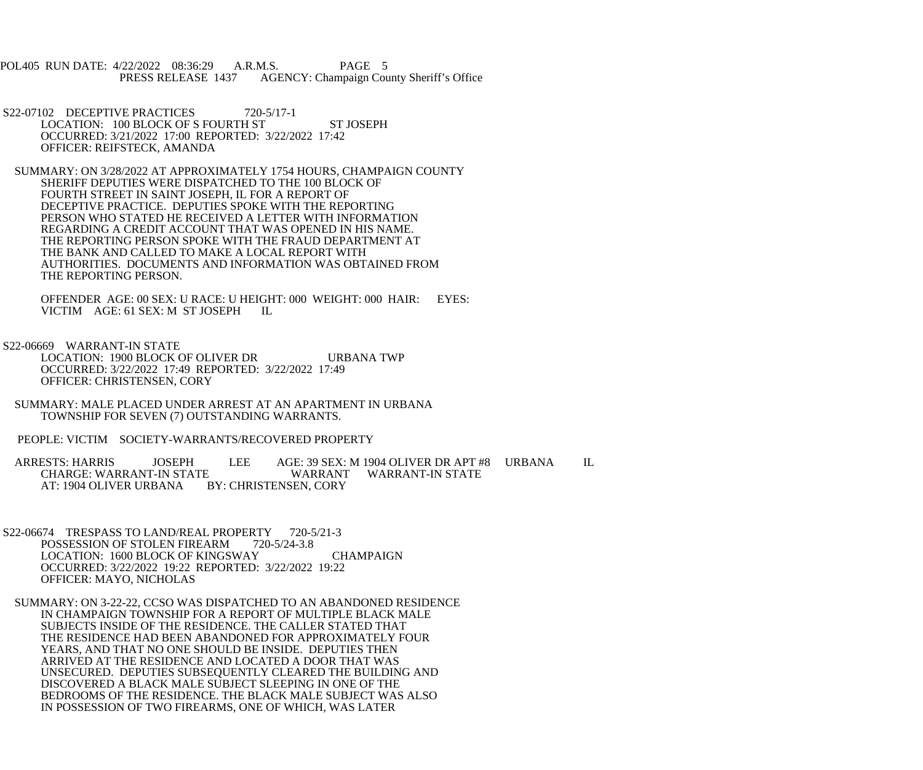POL405 RUN DATE: 4/22/2022 08:36:29 A.R.M.S. PAGE 5<br>PRESS RELEASE 1437 AGENCY: Champaign Cou AGENCY: Champaign County Sheriff's Office

- S22-07102 DECEPTIVE PRACTICES 720-5/17-1 LOCATION: 100 BLOCK OF S FOURTH ST ST JOSEPH OCCURRED: 3/21/2022 17:00 REPORTED: 3/22/2022 17:42 OFFICER: REIFSTECK, AMANDA
- SUMMARY: ON 3/28/2022 AT APPROXIMATELY 1754 HOURS, CHAMPAIGN COUNTY SHERIFF DEPUTIES WERE DISPATCHED TO THE 100 BLOCK OF FOURTH STREET IN SAINT JOSEPH, IL FOR A REPORT OF DECEPTIVE PRACTICE. DEPUTIES SPOKE WITH THE REPORTING PERSON WHO STATED HE RECEIVED A LETTER WITH INFORMATION REGARDING A CREDIT ACCOUNT THAT WAS OPENED IN HIS NAME. THE REPORTING PERSON SPOKE WITH THE FRAUD DEPARTMENT AT THE BANK AND CALLED TO MAKE A LOCAL REPORT WITH AUTHORITIES. DOCUMENTS AND INFORMATION WAS OBTAINED FROM THE REPORTING PERSON.

 OFFENDER AGE: 00 SEX: U RACE: U HEIGHT: 000 WEIGHT: 000 HAIR: EYES: VICTIM AGE: 61 SEX: M ST JOSEPH IL

S22-06669 WARRANT-IN STATE

 LOCATION: 1900 BLOCK OF OLIVER DR URBANA TWP OCCURRED: 3/22/2022 17:49 REPORTED: 3/22/2022 17:49 OFFICER: CHRISTENSEN, CORY

 SUMMARY: MALE PLACED UNDER ARREST AT AN APARTMENT IN URBANA TOWNSHIP FOR SEVEN (7) OUTSTANDING WARRANTS.

PEOPLE: VICTIM SOCIETY-WARRANTS/RECOVERED PROPERTY

 ARRESTS: HARRIS JOSEPH LEE AGE: 39 SEX: M 1904 OLIVER DR APT #8 URBANA IL CHARGE: WARRANT-IN STATE WARRANT WARRANT-IN STATE AT: 1904 OLIVER URBANA BY: CHRISTENSEN, CORY

- S22-06674 TRESPASS TO LAND/REAL PROPERTY 720-5/21-3<br>POSSESSION OF STOLEN FIREARM 720-5/24-3.8 POSSESSION OF STOLEN FIREARM LOCATION: 1600 BLOCK OF KINGSWAY CHAMPAIGN OCCURRED: 3/22/2022 19:22 REPORTED: 3/22/2022 19:22 OFFICER: MAYO, NICHOLAS
- SUMMARY: ON 3-22-22, CCSO WAS DISPATCHED TO AN ABANDONED RESIDENCE IN CHAMPAIGN TOWNSHIP FOR A REPORT OF MULTIPLE BLACK MALE SUBJECTS INSIDE OF THE RESIDENCE. THE CALLER STATED THAT THE RESIDENCE HAD BEEN ABANDONED FOR APPROXIMATELY FOUR YEARS, AND THAT NO ONE SHOULD BE INSIDE. DEPUTIES THEN ARRIVED AT THE RESIDENCE AND LOCATED A DOOR THAT WAS UNSECURED. DEPUTIES SUBSEQUENTLY CLEARED THE BUILDING AND DISCOVERED A BLACK MALE SUBJECT SLEEPING IN ONE OF THE BEDROOMS OF THE RESIDENCE. THE BLACK MALE SUBJECT WAS ALSO IN POSSESSION OF TWO FIREARMS, ONE OF WHICH, WAS LATER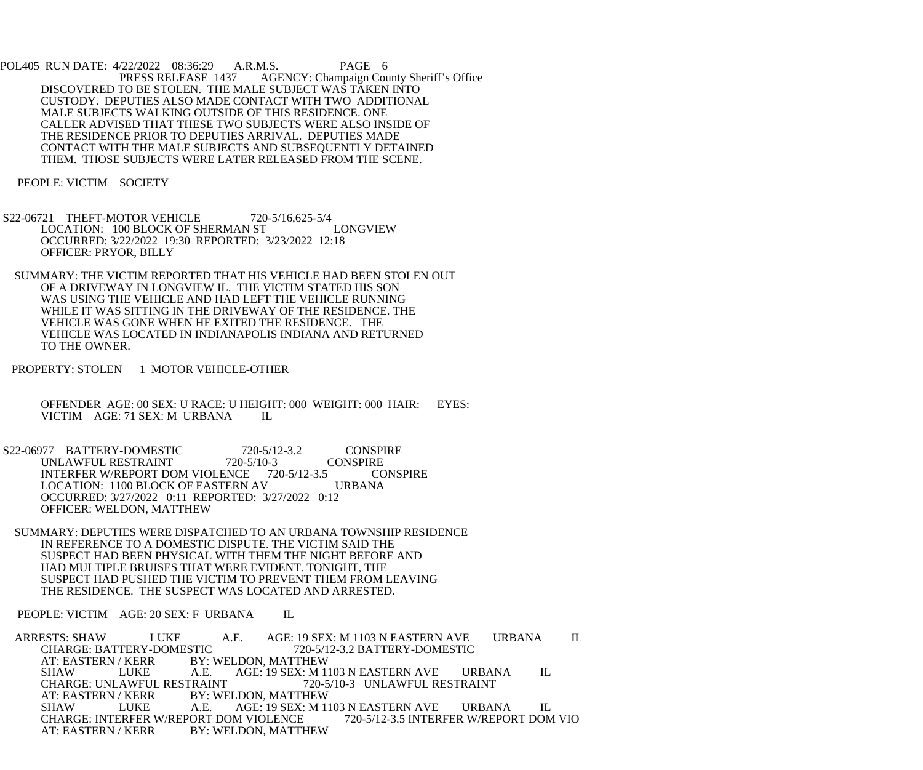POL405 RUN DATE: 4/22/2022 08:36:29 A.R.M.S. PAGE 6 PRESS RELEASE 1437 AGENCY: Champaign County Sheriff's Office DISCOVERED TO BE STOLEN. THE MALE SUBJECT WAS TAKEN INTO CUSTODY. DEPUTIES ALSO MADE CONTACT WITH TWO ADDITIONAL MALE SUBJECTS WALKING OUTSIDE OF THIS RESIDENCE. ONE CALLER ADVISED THAT THESE TWO SUBJECTS WERE ALSO INSIDE OF THE RESIDENCE PRIOR TO DEPUTIES ARRIVAL. DEPUTIES MADE CONTACT WITH THE MALE SUBJECTS AND SUBSEQUENTLY DETAINED THEM. THOSE SUBJECTS WERE LATER RELEASED FROM THE SCENE.

PEOPLE: VICTIM SOCIETY

S22-06721 THEFT-MOTOR VEHICLE 720-5/16,625-5/4<br>LOCATION: 100 BLOCK OF SHERMAN ST LONGVIEW LOCATION: 100 BLOCK OF SHERMAN ST OCCURRED: 3/22/2022 19:30 REPORTED: 3/23/2022 12:18 OFFICER: PRYOR, BILLY

 SUMMARY: THE VICTIM REPORTED THAT HIS VEHICLE HAD BEEN STOLEN OUT OF A DRIVEWAY IN LONGVIEW IL. THE VICTIM STATED HIS SON WAS USING THE VEHICLE AND HAD LEFT THE VEHICLE RUNNING WHILE IT WAS SITTING IN THE DRIVEWAY OF THE RESIDENCE. THE VEHICLE WAS GONE WHEN HE EXITED THE RESIDENCE. THE VEHICLE WAS LOCATED IN INDIANAPOLIS INDIANA AND RETURNED TO THE OWNER.

PROPERTY: STOLEN 1 MOTOR VEHICLE-OTHER

 OFFENDER AGE: 00 SEX: U RACE: U HEIGHT: 000 WEIGHT: 000 HAIR: EYES: VICTIM AGE: 71 SEX: M URBANA

S22-06977 BATTERY-DOMESTIC 720-5/12-3.2 CONSPIRE UNLAWFUL RESTRAINT 720-5/10-3 CONSPIRE<br>INTERFER W/REPORT DOM VIOLENCE 720-5/12-3.5 CONSPIRE INTERFER W/REPORT DOM VIOLENCE 720-5/12-3.5 CC<br>LOCATION: 1100 BLOCK OF EASTERN AV URBANA LOCATION: 1100 BLOCK OF EASTERN AV OCCURRED: 3/27/2022 0:11 REPORTED: 3/27/2022 0:12 OFFICER: WELDON, MATTHEW

 SUMMARY: DEPUTIES WERE DISPATCHED TO AN URBANA TOWNSHIP RESIDENCE IN REFERENCE TO A DOMESTIC DISPUTE. THE VICTIM SAID THE SUSPECT HAD BEEN PHYSICAL WITH THEM THE NIGHT BEFORE AND HAD MULTIPLE BRUISES THAT WERE EVIDENT. TONIGHT, THE SUSPECT HAD PUSHED THE VICTIM TO PREVENT THEM FROM LEAVING THE RESIDENCE. THE SUSPECT WAS LOCATED AND ARRESTED.

PEOPLE: VICTIM AGE: 20 SEX: F URBANA IL

 ARRESTS: SHAW LUKE A.E. AGE: 19 SEX: M 1103 N EASTERN AVE URBANA IL CHARGE: BATTERY-DOMESTIC 720-5/12-3.2 BATTERY-DOMESTIC<br>AT: EASTERN / KERR BY: WELDON, MATTHEW AT: EASTERN / KERR BY: WELDON, MATTHEW<br>SHAW LUKE A.E. AGE: 19 SEX: M 1 LUKE A.E. AGE: 19 SEX: M 1103 N EASTERN AVE URBANA IL<br>AWFUL RESTRAINT 720-5/10-3 UNLAWFUL RESTRAINT CHARGE: UNLAWFUL RESTRAINT<br>AT: EASTERN / KERR BY: WE AT: EASTERN / KERR BY: WELDON, MATTHEW<br>SHAW LUKE A.E. AGE: 19 SEX: M 1 AGE: 19 SEX: M 1103 N EASTERN AVE URBANA IL CHARGE: INTERFER W/REPORT DOM VIOLENCE 720-5/12-3.5 INTERFER W/REPORT DOM VIO AT: EASTERN / KERR BY: WELDON, MATTHEW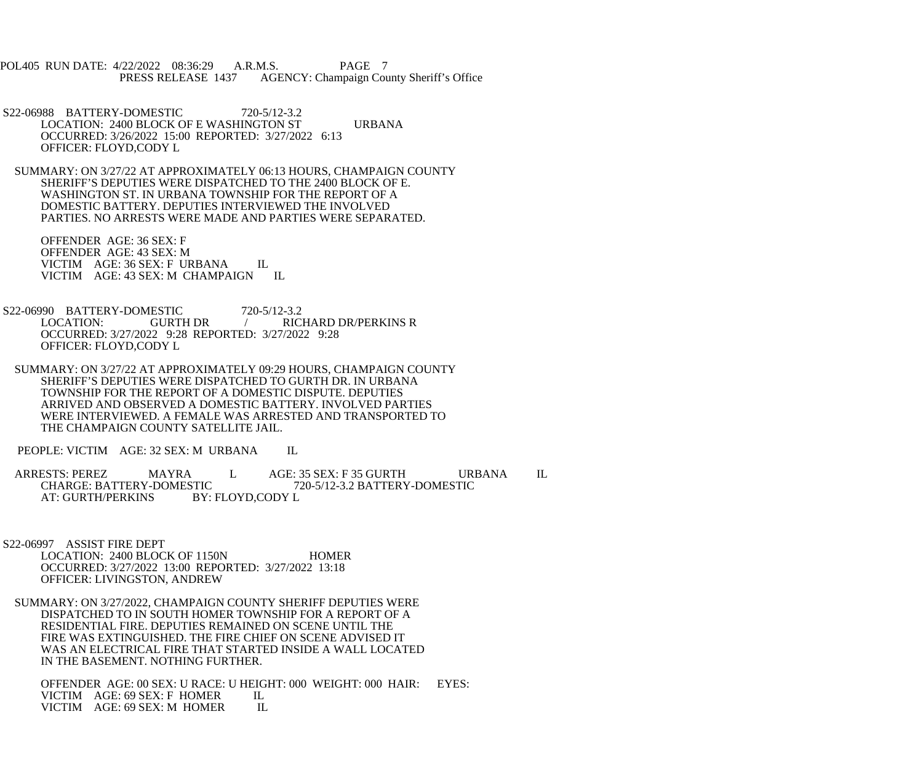POL405 RUN DATE: 4/22/2022 08:36:29 A.R.M.S. PAGE 7<br>PRESS RELEASE 1437 AGENCY: Champaign Cou AGENCY: Champaign County Sheriff's Office

 S22-06988 BATTERY-DOMESTIC 720-5/12-3.2 LOCATION: 2400 BLOCK OF E WASHINGTON ST URBANA OCCURRED: 3/26/2022 15:00 REPORTED: 3/27/2022 6:13 OFFICER: FLOYD,CODY L

 SUMMARY: ON 3/27/22 AT APPROXIMATELY 06:13 HOURS, CHAMPAIGN COUNTY SHERIFF'S DEPUTIES WERE DISPATCHED TO THE 2400 BLOCK OF E. WASHINGTON ST. IN URBANA TOWNSHIP FOR THE REPORT OF A DOMESTIC BATTERY. DEPUTIES INTERVIEWED THE INVOLVED PARTIES. NO ARRESTS WERE MADE AND PARTIES WERE SEPARATED.

 OFFENDER AGE: 36 SEX: F OFFENDER AGE: 43 SEX: M VICTIM AGE: 36 SEX: F URBANA IL VICTIM AGE: 43 SEX: M CHAMPAIGN IL

S22-06990 BATTERY-DOMESTIC 720-5/12-3.2<br>LOCATION: GURTH DR / RIC LOCATION: GURTH DR / RICHARD DR/PERKINS R OCCURRED: 3/27/2022 9:28 REPORTED: 3/27/2022 9:28 OFFICER: FLOYD,CODY L

 SUMMARY: ON 3/27/22 AT APPROXIMATELY 09:29 HOURS, CHAMPAIGN COUNTY SHERIFF'S DEPUTIES WERE DISPATCHED TO GURTH DR. IN URBANA TOWNSHIP FOR THE REPORT OF A DOMESTIC DISPUTE. DEPUTIES ARRIVED AND OBSERVED A DOMESTIC BATTERY. INVOLVED PARTIES WERE INTERVIEWED. A FEMALE WAS ARRESTED AND TRANSPORTED TO THE CHAMPAIGN COUNTY SATELLITE JAIL.

PEOPLE: VICTIM AGE: 32 SEX: M URBANA IL

ARRESTS: PEREZ MAYRA L AGE: 35 SEX: F 35 GURTH URBANA IL CHARGE: BATTERY-DOMESTIC 720-5/12-3.2 BATTERY-DOMESTIC STIC 720-5/12-3.2 BATTERY-DOMESTIC<br>BY: FLOYD,CODY L AT: GURTH/PERKINS

 S22-06997 ASSIST FIRE DEPT LOCATION: 2400 BLOCK OF 1150N HOMER OCCURRED: 3/27/2022 13:00 REPORTED: 3/27/2022 13:18 OFFICER: LIVINGSTON, ANDREW

 SUMMARY: ON 3/27/2022, CHAMPAIGN COUNTY SHERIFF DEPUTIES WERE DISPATCHED TO IN SOUTH HOMER TOWNSHIP FOR A REPORT OF A RESIDENTIAL FIRE. DEPUTIES REMAINED ON SCENE UNTIL THE FIRE WAS EXTINGUISHED. THE FIRE CHIEF ON SCENE ADVISED IT WAS AN ELECTRICAL FIRE THAT STARTED INSIDE A WALL LOCATED IN THE BASEMENT. NOTHING FURTHER.

 OFFENDER AGE: 00 SEX: U RACE: U HEIGHT: 000 WEIGHT: 000 HAIR: EYES: VICTIM AGE: 69 SEX: F HOMER IL<br>VICTIM AGE: 69 SEX: M HOMER IL VICTIM AGE: 69 SEX: M HOMER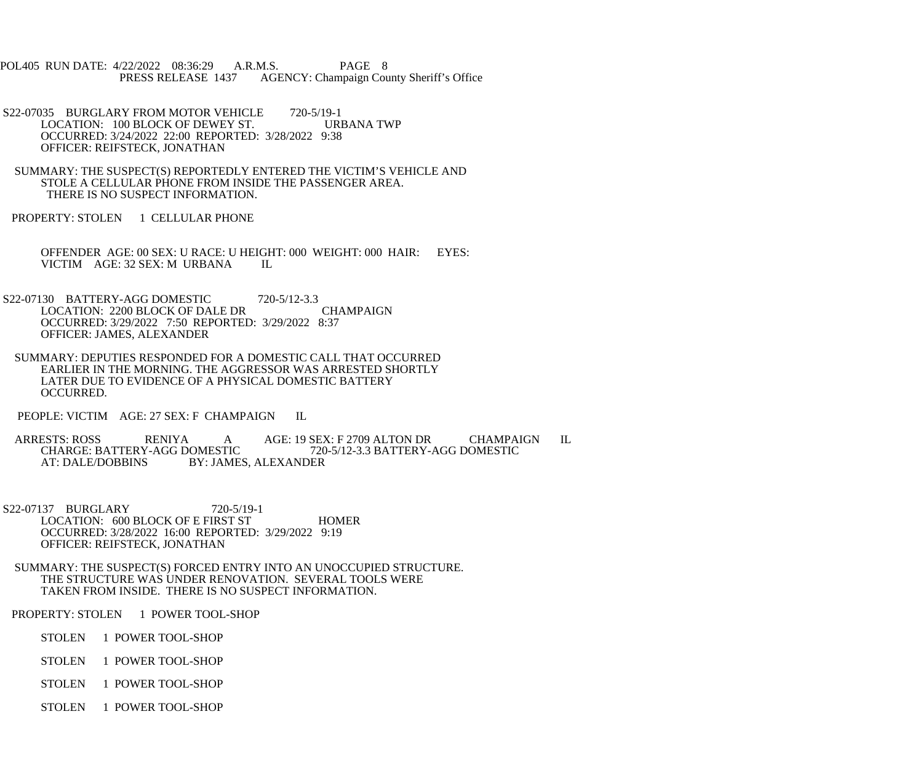POL405 RUN DATE: 4/22/2022 08:36:29 A.R.M.S. PAGE 8<br>PRESS RELEASE 1437 AGENCY: Champaign Cou AGENCY: Champaign County Sheriff's Office

S22-07035 BURGLARY FROM MOTOR VEHICLE 720-5/19-1<br>LOCATION: 100 BLOCK OF DEWEY ST. URBANA TWP LOCATION: 100 BLOCK OF DEWEY ST. OCCURRED: 3/24/2022 22:00 REPORTED: 3/28/2022 9:38 OFFICER: REIFSTECK, JONATHAN

 SUMMARY: THE SUSPECT(S) REPORTEDLY ENTERED THE VICTIM'S VEHICLE AND STOLE A CELLULAR PHONE FROM INSIDE THE PASSENGER AREA. THERE IS NO SUSPECT INFORMATION.

PROPERTY: STOLEN 1 CELLULAR PHONE

 OFFENDER AGE: 00 SEX: U RACE: U HEIGHT: 000 WEIGHT: 000 HAIR: EYES: VICTIM AGE: 32 SEX: M URBANA IL

 S22-07130 BATTERY-AGG DOMESTIC 720-5/12-3.3 LOCATION: 2200 BLOCK OF DALE DR CHAMPAIGN OCCURRED: 3/29/2022 7:50 REPORTED: 3/29/2022 8:37 OFFICER: JAMES, ALEXANDER

 SUMMARY: DEPUTIES RESPONDED FOR A DOMESTIC CALL THAT OCCURRED EARLIER IN THE MORNING. THE AGGRESSOR WAS ARRESTED SHORTLY LATER DUE TO EVIDENCE OF A PHYSICAL DOMESTIC BATTERY OCCURRED.

PEOPLE: VICTIM AGE: 27 SEX: F CHAMPAIGN IL

ARRESTS: ROSS RENIYA A AGE: 19 SEX: F 2709 ALTON DR CHAMPAIGN IL<br>CHARGE: BATTERY-AGG DOMESTIC 720-5/12-3.3 BATTERY-AGG DOMESTIC CHARGE: BATTERY-AGG DOMESTIC 720-5/12-3.3 BATTERY-AGG DOMESTIC AT: DALE/DOBBINS BY: JAMES, ALEXANDER BY: JAMES, ALEXANDER

 S22-07137 BURGLARY 720-5/19-1 LOCATION: 600 BLOCK OF E FIRST ST HOMER OCCURRED: 3/28/2022 16:00 REPORTED: 3/29/2022 9:19 OFFICER: REIFSTECK, JONATHAN

 SUMMARY: THE SUSPECT(S) FORCED ENTRY INTO AN UNOCCUPIED STRUCTURE. THE STRUCTURE WAS UNDER RENOVATION. SEVERAL TOOLS WERE TAKEN FROM INSIDE. THERE IS NO SUSPECT INFORMATION.

PROPERTY: STOLEN 1 POWER TOOL-SHOP

STOLEN 1 POWER TOOL-SHOP

STOLEN 1 POWER TOOL-SHOP

STOLEN 1 POWER TOOL-SHOP

STOLEN 1 POWER TOOL-SHOP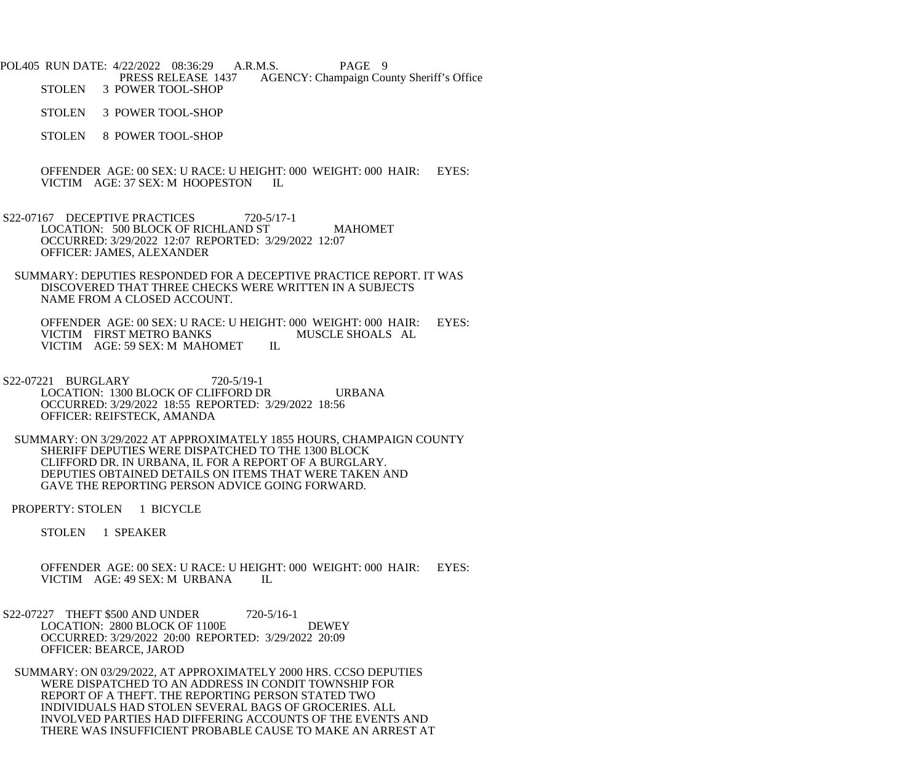POL405 RUN DATE: 4/22/2022 08:36:29 A.R.M.S. PAGE 9<br>PRESS RELEASE 1437 AGENCY: Champaign Cou PRESS RELEASE 1437 AGENCY: Champaign County Sheriff's Office<br>STOLEN 3 POWER TOOL-SHOP 3 POWER TOOL-SHOP

STOLEN 3 POWER TOOL-SHOP

STOLEN 8 POWER TOOL-SHOP

 OFFENDER AGE: 00 SEX: U RACE: U HEIGHT: 000 WEIGHT: 000 HAIR: EYES: VICTIM AGE: 37 SEX: M HOOPESTON IL

- S22-07167 DECEPTIVE PRACTICES 720-5/17-1 LOCATION: 500 BLOCK OF RICHLAND ST MAHOMET OCCURRED: 3/29/2022 12:07 REPORTED: 3/29/2022 12:07 OFFICER: JAMES, ALEXANDER
	- SUMMARY: DEPUTIES RESPONDED FOR A DECEPTIVE PRACTICE REPORT. IT WAS DISCOVERED THAT THREE CHECKS WERE WRITTEN IN A SUBJECTS NAME FROM A CLOSED ACCOUNT.

OFFENDER AGE: 00 SEX: U RACE: U HEIGHT: 000 WEIGHT: 000 HAIR: EYES:<br>VICTIM FIRST METRO BANKS MUSCLE SHOALS AL VICTIM FIRST METRO BANKS<br>VICTIM AGE: 59 SEX: M MAHOMET IL VICTIM AGE: 59 SEX: M MAHOMET

 S22-07221 BURGLARY 720-5/19-1 LOCATION: 1300 BLOCK OF CLIFFORD DR URBANA OCCURRED: 3/29/2022 18:55 REPORTED: 3/29/2022 18:56 OFFICER: REIFSTECK, AMANDA

 SUMMARY: ON 3/29/2022 AT APPROXIMATELY 1855 HOURS, CHAMPAIGN COUNTY SHERIFF DEPUTIES WERE DISPATCHED TO THE 1300 BLOCK CLIFFORD DR. IN URBANA, IL FOR A REPORT OF A BURGLARY. DEPUTIES OBTAINED DETAILS ON ITEMS THAT WERE TAKEN AND GAVE THE REPORTING PERSON ADVICE GOING FORWARD.

PROPERTY: STOLEN 1 BICYCLE

STOLEN 1 SPEAKER

 OFFENDER AGE: 00 SEX: U RACE: U HEIGHT: 000 WEIGHT: 000 HAIR: EYES: VICTIM AGE: 49 SEX: M URBANA IL

S22-07227 THEFT \$500 AND UNDER 720-5/16-1 LOCATION: 2800 BLOCK OF 1100E DEWEY OCCURRED: 3/29/2022 20:00 REPORTED: 3/29/2022 20:09 OFFICER: BEARCE, JAROD

 SUMMARY: ON 03/29/2022, AT APPROXIMATELY 2000 HRS. CCSO DEPUTIES WERE DISPATCHED TO AN ADDRESS IN CONDIT TOWNSHIP FOR REPORT OF A THEFT. THE REPORTING PERSON STATED TWO INDIVIDUALS HAD STOLEN SEVERAL BAGS OF GROCERIES. ALL INVOLVED PARTIES HAD DIFFERING ACCOUNTS OF THE EVENTS AND THERE WAS INSUFFICIENT PROBABLE CAUSE TO MAKE AN ARREST AT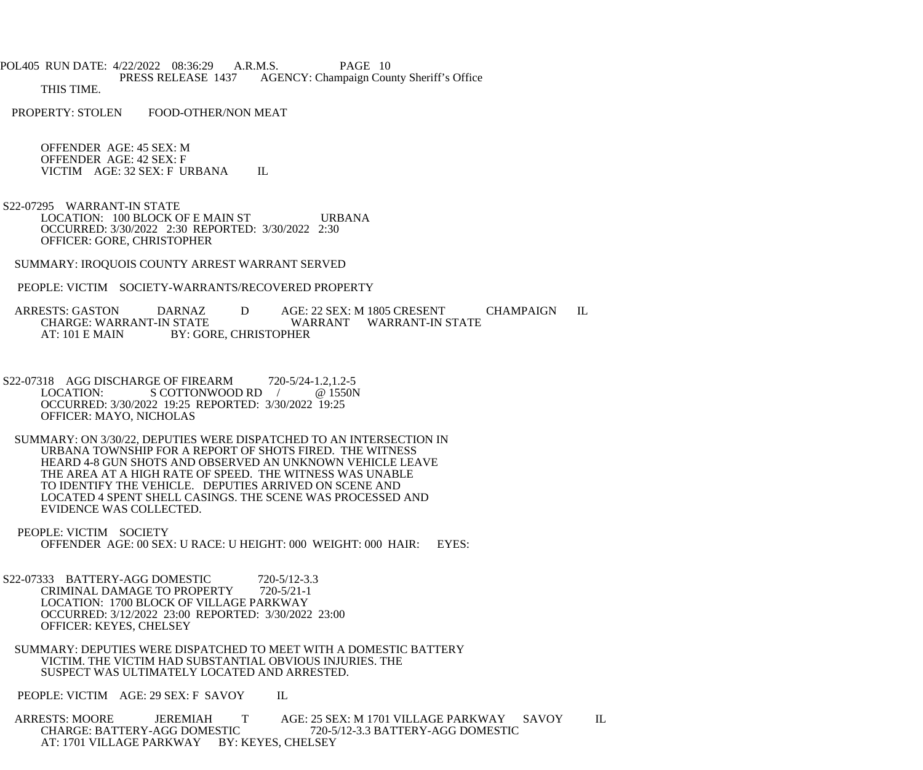POL405 RUN DATE: 4/22/2022 08:36:29 A.R.M.S. PAGE 10 PRESS RELEASE 1437 AGENCY: Champaign County Sheriff's Office THIS TIME.

PROPERTY: STOLEN FOOD-OTHER/NON MEAT

 OFFENDER AGE: 45 SEX: M OFFENDER AGE: 42 SEX: F VICTIM AGE: 32 SEX: F URBANA IL

 S22-07295 WARRANT-IN STATE LOCATION: 100 BLOCK OF E MAIN ST URBANA OCCURRED: 3/30/2022 2:30 REPORTED: 3/30/2022 2:30 OFFICER: GORE, CHRISTOPHER

SUMMARY: IROQUOIS COUNTY ARREST WARRANT SERVED

PEOPLE: VICTIM SOCIETY-WARRANTS/RECOVERED PROPERTY

ARRESTS: GASTON DARNAZ D AGE: 22 SEX: M 1805 CRESENT CHAMPAIGN IL<br>CHARGE: WARRANT-IN STATE WARRANT WARRANT-IN STATE WARRANT WARRANT-IN STATE AT: 101 E MAIN BY: GORE, CHRISTOPHER

S22-07318 AGG DISCHARGE OF FIREARM 720-5/24-1.2,1.2-5<br>LOCATION: S COTTONWOOD RD / @ 1550N  $S$  COTTONWOOD RD  $/$  @ 1550N OCCURRED: 3/30/2022 19:25 REPORTED: 3/30/2022 19:25 OFFICER: MAYO, NICHOLAS

 SUMMARY: ON 3/30/22, DEPUTIES WERE DISPATCHED TO AN INTERSECTION IN URBANA TOWNSHIP FOR A REPORT OF SHOTS FIRED. THE WITNESS HEARD 4-8 GUN SHOTS AND OBSERVED AN UNKNOWN VEHICLE LEAVE THE AREA AT A HIGH RATE OF SPEED. THE WITNESS WAS UNABLE TO IDENTIFY THE VEHICLE. DEPUTIES ARRIVED ON SCENE AND LOCATED 4 SPENT SHELL CASINGS. THE SCENE WAS PROCESSED AND EVIDENCE WAS COLLECTED.

 PEOPLE: VICTIM SOCIETY OFFENDER AGE: 00 SEX: U RACE: U HEIGHT: 000 WEIGHT: 000 HAIR: EYES:

S22-07333 BATTERY-AGG DOMESTIC 720-5/12-3.3<br>CRIMINAL DAMAGE TO PROPERTY 720-5/21-1 CRIMINAL DAMAGE TO PROPERTY LOCATION: 1700 BLOCK OF VILLAGE PARKWAY OCCURRED: 3/12/2022 23:00 REPORTED: 3/30/2022 23:00 OFFICER: KEYES, CHELSEY

 SUMMARY: DEPUTIES WERE DISPATCHED TO MEET WITH A DOMESTIC BATTERY VICTIM. THE VICTIM HAD SUBSTANTIAL OBVIOUS INJURIES. THE SUSPECT WAS ULTIMATELY LOCATED AND ARRESTED.

PEOPLE: VICTIM AGE: 29 SEX: F SAVOY IL

 ARRESTS: MOORE JEREMIAH T AGE: 25 SEX: M 1701 VILLAGE PARKWAY SAVOY IL CHARGE: BATTERY-AGG DOMESTIC 720-5/12-3.3 BATTERY-AGG DOMESTIC AT: 1701 VILLAGE PARKWAY BY: KEYES, CHELSEY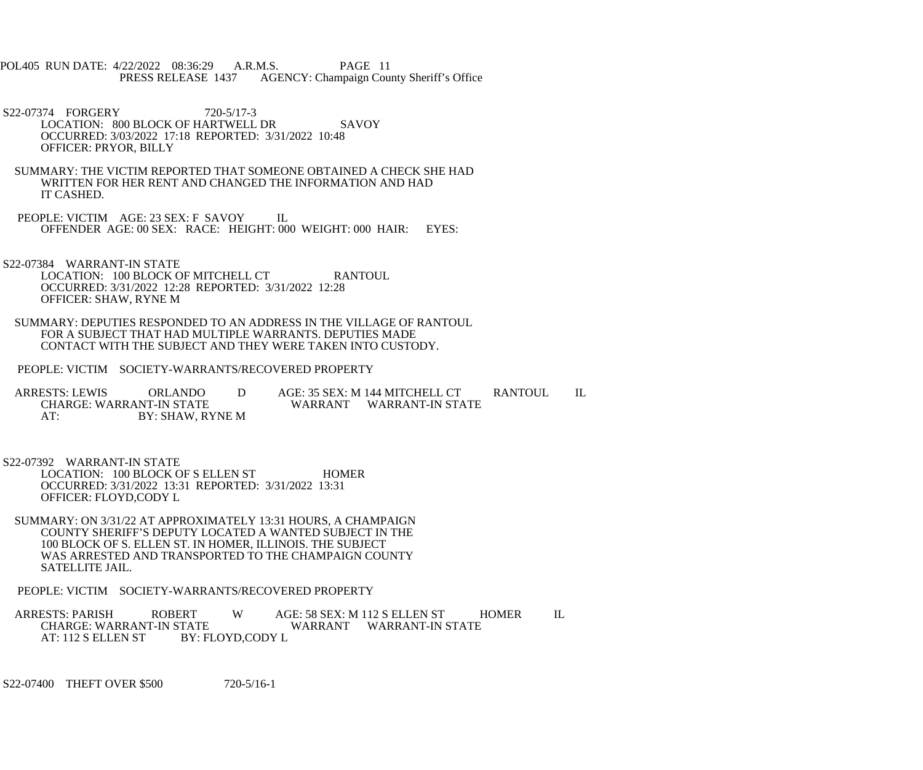- POL405 RUN DATE: 4/22/2022 08:36:29 A.R.M.S. PAGE 11<br>PRESS RELEASE 1437 AGENCY: Champaign Cou AGENCY: Champaign County Sheriff's Office
- S22-07374 FORGERY 720-5/17-3 LOCATION: 800 BLOCK OF HARTWELL DR SAVOY OCCURRED: 3/03/2022 17:18 REPORTED: 3/31/2022 10:48 OFFICER: PRYOR, BILLY
- SUMMARY: THE VICTIM REPORTED THAT SOMEONE OBTAINED A CHECK SHE HAD WRITTEN FOR HER RENT AND CHANGED THE INFORMATION AND HAD IT CASHED.
- PEOPLE: VICTIM AGE: 23 SEX: F SAVOY IL OFFENDER AGE: 00 SEX: RACE: HEIGHT: 000 WEIGHT: 000 HAIR: EYES:
- S22-07384 WARRANT-IN STATE LOCATION: 100 BLOCK OF MITCHELL CT RANTOUL OCCURRED: 3/31/2022 12:28 REPORTED: 3/31/2022 12:28 OFFICER: SHAW, RYNE M
- SUMMARY: DEPUTIES RESPONDED TO AN ADDRESS IN THE VILLAGE OF RANTOUL FOR A SUBJECT THAT HAD MULTIPLE WARRANTS. DEPUTIES MADE CONTACT WITH THE SUBJECT AND THEY WERE TAKEN INTO CUSTODY.
- PEOPLE: VICTIM SOCIETY-WARRANTS/RECOVERED PROPERTY

ARRESTS: LEWIS ORLANDO D AGE: 35 SEX: M 144 MITCHELL CT RANTOUL IL CHARGE: WARRANT-IN STATE CHARGE: WARRANT-IN STATE WARRANT WARRANT-IN STATE<br>AT: BY: SHAW, RYNE M BY: SHAW, RYNE M

- S22-07392 WARRANT-IN STATE
	- LOCATION: 100 BLOCK OF S ELLEN ST HOMER OCCURRED: 3/31/2022 13:31 REPORTED: 3/31/2022 13:31 OFFICER: FLOYD,CODY L
- SUMMARY: ON 3/31/22 AT APPROXIMATELY 13:31 HOURS, A CHAMPAIGN COUNTY SHERIFF'S DEPUTY LOCATED A WANTED SUBJECT IN THE 100 BLOCK OF S. ELLEN ST. IN HOMER, ILLINOIS. THE SUBJECT WAS ARRESTED AND TRANSPORTED TO THE CHAMPAIGN COUNTY SATELLITE JAIL.
- PEOPLE: VICTIM SOCIETY-WARRANTS/RECOVERED PROPERTY
- ARRESTS: PARISH ROBERT W AGE: 58 SEX: M 112 S ELLEN ST HOMER IL CHARGE: WARRANT-IN STATE CHARGE: WARRANT-IN STATE WARRANT WARRANT-IN STATE<br>AT: 112 S ELLEN ST BY: FLOYD.CODY L BY: FLOYD,CODY L
- S22-07400 THEFT OVER \$500 720-5/16-1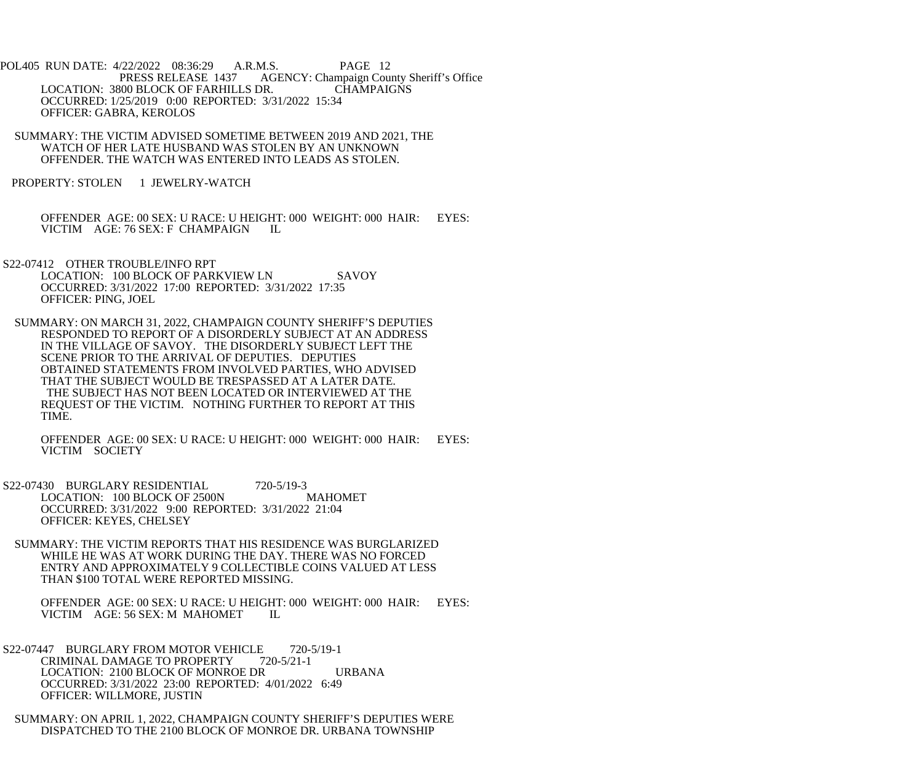POL405 RUN DATE: 4/22/2022 08:36:29 A.R.M.S. PAGE 12 PRESS RELEASE 1437 AGENCY: Champaign County Sheriff's Office LOCATION: 3800 BLOCK OF FARHILLS DR. CHAMPAIGNS OCCURRED: 1/25/2019 0:00 REPORTED: 3/31/2022 15:34 OFFICER: GABRA, KEROLOS

 SUMMARY: THE VICTIM ADVISED SOMETIME BETWEEN 2019 AND 2021, THE WATCH OF HER LATE HUSBAND WAS STOLEN BY AN UNKNOWN OFFENDER. THE WATCH WAS ENTERED INTO LEADS AS STOLEN.

PROPERTY: STOLEN 1 JEWELRY-WATCH

 OFFENDER AGE: 00 SEX: U RACE: U HEIGHT: 000 WEIGHT: 000 HAIR: EYES: VICTIM AGE: 76 SEX: F CHAMPAIGN IL

 S22-07412 OTHER TROUBLE/INFO RPT LOCATION: 100 BLOCK OF PARKVIEW LN SAVOY OCCURRED: 3/31/2022 17:00 REPORTED: 3/31/2022 17:35 OFFICER: PING, JOEL

 SUMMARY: ON MARCH 31, 2022, CHAMPAIGN COUNTY SHERIFF'S DEPUTIES RESPONDED TO REPORT OF A DISORDERLY SUBJECT AT AN ADDRESS IN THE VILLAGE OF SAVOY. THE DISORDERLY SUBJECT LEFT THE SCENE PRIOR TO THE ARRIVAL OF DEPUTIES. DEPUTIES OBTAINED STATEMENTS FROM INVOLVED PARTIES, WHO ADVISED THAT THE SUBJECT WOULD BE TRESPASSED AT A LATER DATE. THE SUBJECT HAS NOT BEEN LOCATED OR INTERVIEWED AT THE REQUEST OF THE VICTIM. NOTHING FURTHER TO REPORT AT THIS TIME.

 OFFENDER AGE: 00 SEX: U RACE: U HEIGHT: 000 WEIGHT: 000 HAIR: EYES: VICTIM SOCIETY

S22-07430 BURGLARY RESIDENTIAL 720-5/19-3 LOCATION: 100 BLOCK OF 2500N MAHOMET OCCURRED: 3/31/2022 9:00 REPORTED: 3/31/2022 21:04 OFFICER: KEYES, CHELSEY

 SUMMARY: THE VICTIM REPORTS THAT HIS RESIDENCE WAS BURGLARIZED WHILE HE WAS AT WORK DURING THE DAY. THERE WAS NO FORCED ENTRY AND APPROXIMATELY 9 COLLECTIBLE COINS VALUED AT LESS THAN \$100 TOTAL WERE REPORTED MISSING.

OFFENDER AGE: 00 SEX: U RACE: U HEIGHT: 000 WEIGHT: 000 HAIR: EYES: VICTIM AGE: 56 SEX: M MAHOMET IL VICTIM AGE: 56 SEX: M MAHOMET

S22-07447 BURGLARY FROM MOTOR VEHICLE 720-5/19-1 CRIMINAL DAMAGE TO PROPERTY 720-5/21-1 LOCATION: 2100 BLOCK OF MONROE DR URBANA OCCURRED: 3/31/2022 23:00 REPORTED: 4/01/2022 6:49 OFFICER: WILLMORE, JUSTIN

 SUMMARY: ON APRIL 1, 2022, CHAMPAIGN COUNTY SHERIFF'S DEPUTIES WERE DISPATCHED TO THE 2100 BLOCK OF MONROE DR. URBANA TOWNSHIP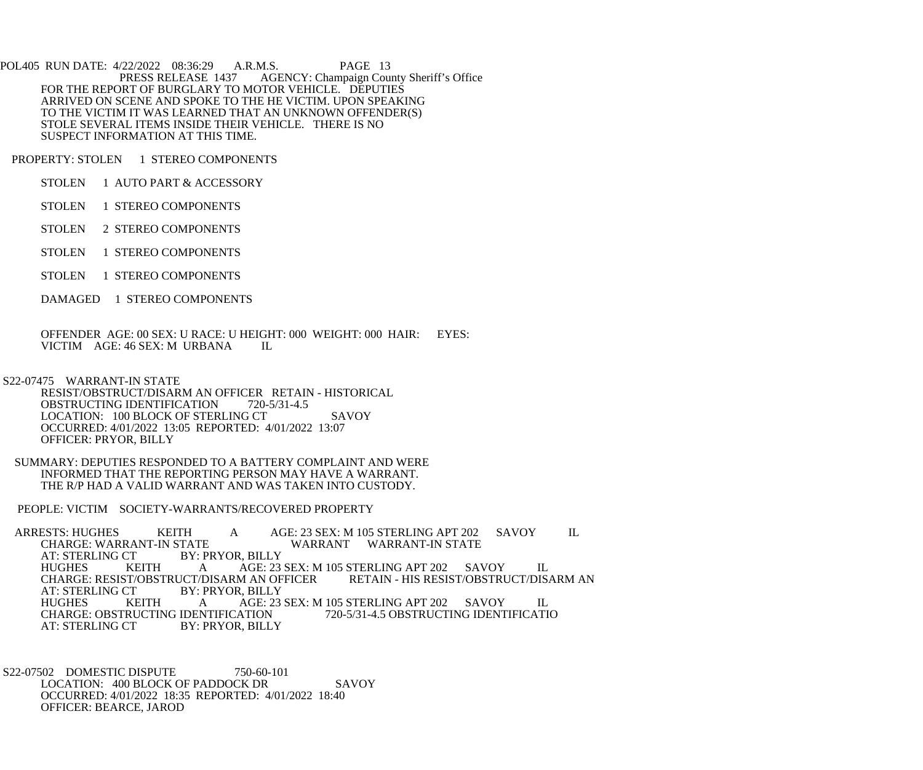POL405 RUN DATE: 4/22/2022 08:36:29 A.R.M.S. PAGE 13<br>PRESS RELEASE 1437 AGENCY: Champaign Cou AGENCY: Champaign County Sheriff's Office FOR THE REPORT OF BURGLARY TO MOTOR VEHICLE. DEPUTIES ARRIVED ON SCENE AND SPOKE TO THE HE VICTIM. UPON SPEAKING TO THE VICTIM IT WAS LEARNED THAT AN UNKNOWN OFFENDER(S) STOLE SEVERAL ITEMS INSIDE THEIR VEHICLE. THERE IS NO SUSPECT INFORMATION AT THIS TIME.

PROPERTY: STOLEN 1 STEREO COMPONENTS

- STOLEN 1 AUTO PART & ACCESSORY
- STOLEN 1 STEREO COMPONENTS
- STOLEN 2 STEREO COMPONENTS
- STOLEN 1 STEREO COMPONENTS
- STOLEN 1 STEREO COMPONENTS
- DAMAGED 1 STEREO COMPONENTS

 OFFENDER AGE: 00 SEX: U RACE: U HEIGHT: 000 WEIGHT: 000 HAIR: EYES: VICTIM AGE: 46 SEX: M URBANA IL

S22-07475 WARRANT-IN STATE

 RESIST/OBSTRUCT/DISARM AN OFFICER RETAIN - HISTORICAL OBSTRUCTING IDENTIFICATION 720-5/31-4.5 LOCATION: 100 BLOCK OF STERLING CT SAVOY OCCURRED: 4/01/2022 13:05 REPORTED: 4/01/2022 13:07 OFFICER: PRYOR, BILLY

 SUMMARY: DEPUTIES RESPONDED TO A BATTERY COMPLAINT AND WERE INFORMED THAT THE REPORTING PERSON MAY HAVE A WARRANT. THE R/P HAD A VALID WARRANT AND WAS TAKEN INTO CUSTODY.

PEOPLE: VICTIM SOCIETY-WARRANTS/RECOVERED PROPERTY

ARRESTS: HUGHES KEITH A AGE: 23 SEX: M 105 STERLING APT 202 SAVOY IL CHARGE: WARRANT-IN STATE CHARGE: WARRANT-IN STATE WARRANT WARRANT-IN STATE AT: STERLING CT BY: PRYOR, BILLY AT: STERLING CT BY: PRYOR, BILLY<br>HUGHES KEITH A AGE: 23 HUGHES KEITH A AGE: 23 SEX: M 105 STERLING APT 202 SAVOY IL CHARGE: RESIST/OBSTRUCT/DISARM AN OFFICER<br>AT: STERLING CT BY: PRYOR. BILLY AT: STERLING CT BY: PRYOR, BILLY<br>HUGHES KEITH A AGE: 23 A AGE: 23 SEX: M 105 STERLING APT 202 SAVOY IL<br>ENTIFICATION 720-5/31-4.5 OBSTRUCTING IDENTIFICATIO CHARGE: OBSTRUCTING IDENTIFICATION<br>AT: STERLING CT BY: PRYOR. BILL BY: PRYOR, BILLY

S22-07502 DOMESTIC DISPUTE 750-60-101 LOCATION: 400 BLOCK OF PADDOCK DR SAVOY OCCURRED: 4/01/2022 18:35 REPORTED: 4/01/2022 18:40 OFFICER: BEARCE, JAROD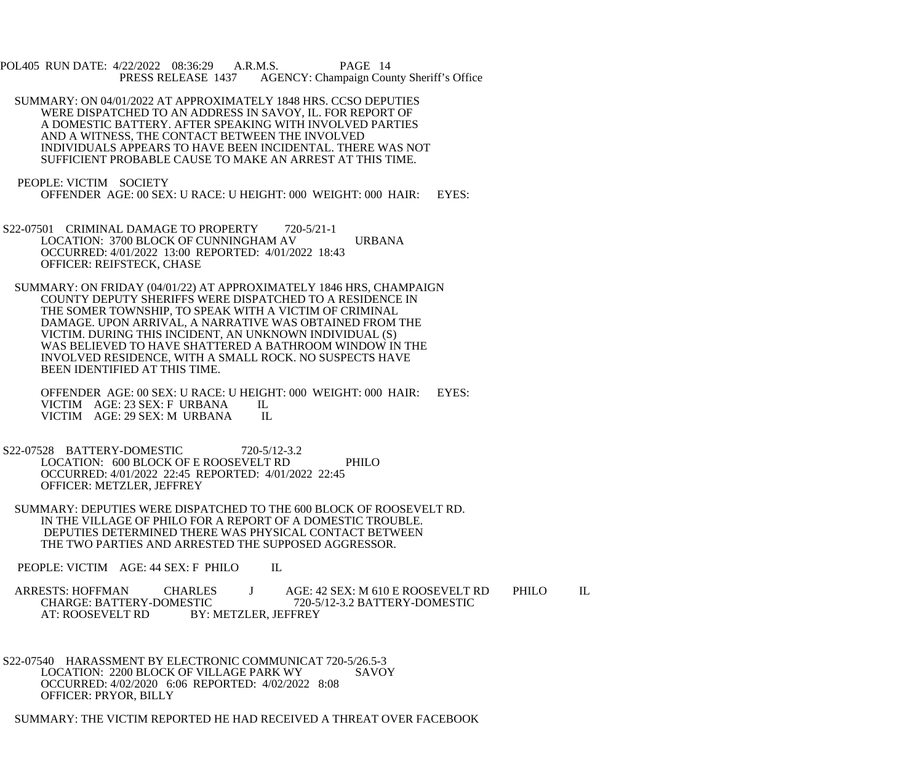POL405 RUN DATE: 4/22/2022 08:36:29 A.R.M.S. PAGE 14<br>PRESS RELEASE 1437 AGENCY: Champaign Cou AGENCY: Champaign County Sheriff's Office

- SUMMARY: ON 04/01/2022 AT APPROXIMATELY 1848 HRS. CCSO DEPUTIES WERE DISPATCHED TO AN ADDRESS IN SAVOY, IL. FOR REPORT OF A DOMESTIC BATTERY. AFTER SPEAKING WITH INVOLVED PARTIES AND A WITNESS, THE CONTACT BETWEEN THE INVOLVED INDIVIDUALS APPEARS TO HAVE BEEN INCIDENTAL. THERE WAS NOT SUFFICIENT PROBABLE CAUSE TO MAKE AN ARREST AT THIS TIME.
- PEOPLE: VICTIM SOCIETY OFFENDER AGE: 00 SEX: U RACE: U HEIGHT: 000 WEIGHT: 000 HAIR: EYES:
- S22-07501 CRIMINAL DAMAGE TO PROPERTY 720-5/21-1 LOCATION: 3700 BLOCK OF CUNNINGHAM AV URBANA OCCURRED: 4/01/2022 13:00 REPORTED: 4/01/2022 18:43 OFFICER: REIFSTECK, CHASE
- SUMMARY: ON FRIDAY (04/01/22) AT APPROXIMATELY 1846 HRS, CHAMPAIGN COUNTY DEPUTY SHERIFFS WERE DISPATCHED TO A RESIDENCE IN THE SOMER TOWNSHIP, TO SPEAK WITH A VICTIM OF CRIMINAL DAMAGE. UPON ARRIVAL, A NARRATIVE WAS OBTAINED FROM THE VICTIM. DURING THIS INCIDENT, AN UNKNOWN INDIVIDUAL (S) WAS BELIEVED TO HAVE SHATTERED A BATHROOM WINDOW IN THE INVOLVED RESIDENCE, WITH A SMALL ROCK. NO SUSPECTS HAVE BEEN IDENTIFIED AT THIS TIME.
	- OFFENDER AGE: 00 SEX: U RACE: U HEIGHT: 000 WEIGHT: 000 HAIR: EYES: VICTIM AGE: 23 SEX: F URBANA IL VICTIM AGE: 23 SEX: F URBANA IL<br>VICTIM AGE: 29 SEX: M URBANA IL VICTIM AGE: 29 SEX: M URBANA
- S22-07528 BATTERY-DOMESTIC 720-5/12-3.2 LOCATION: 600 BLOCK OF E ROOSEVELT RD PHILO OCCURRED: 4/01/2022 22:45 REPORTED: 4/01/2022 22:45 OFFICER: METZLER, JEFFREY
- SUMMARY: DEPUTIES WERE DISPATCHED TO THE 600 BLOCK OF ROOSEVELT RD. IN THE VILLAGE OF PHILO FOR A REPORT OF A DOMESTIC TROUBLE. DEPUTIES DETERMINED THERE WAS PHYSICAL CONTACT BETWEEN THE TWO PARTIES AND ARRESTED THE SUPPOSED AGGRESSOR.
- PEOPLE: VICTIM AGE: 44 SEX: F PHILO IL
- ARRESTS: HOFFMAN CHARLES J AGE: 42 SEX: M 610 E ROOSEVELT RD PHILO IL<br>CHARGE: BATTERY-DOMESTIC 720-5/12-3.2 BATTERY-DOMESTIC CHARGE: BATTERY-DOMESTIC 720-5/12-3.2 BATTERY-DOMESTIC<br>AT: ROOSEVELT RD BY: METZLER, JEFFREY BY: METZLER, JEFFREY
- S22-07540 HARASSMENT BY ELECTRONIC COMMUNICAT 720-5/26.5-3<br>LOCATION: 2200 BLOCK OF VILLAGE PARK WY SAVOY LOCATION: 2200 BLOCK OF VILLAGE PARK WY OCCURRED: 4/02/2020 6:06 REPORTED: 4/02/2022 8:08 OFFICER: PRYOR, BILLY
- SUMMARY: THE VICTIM REPORTED HE HAD RECEIVED A THREAT OVER FACEBOOK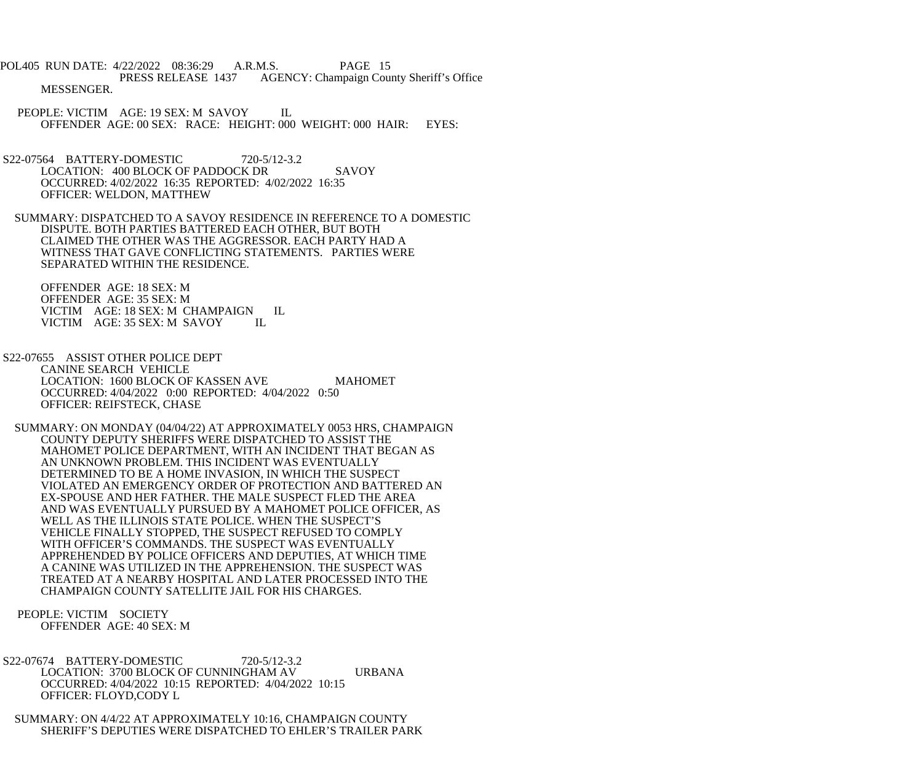POL405 RUN DATE: 4/22/2022 08:36:29 A.R.M.S. PAGE 15 PRESS RELEASE 1437 AGENCY: Champaign County Sheriff's Office MESSENGER.

- PEOPLE: VICTIM AGE: 19 SEX: M SAVOY IL OFFENDER AGE: 00 SEX: RACE: HEIGHT: 000 WEIGHT: 000 HAIR: EYES:
- S22-07564 BATTERY-DOMESTIC 720-5/12-3.2 LOCATION: 400 BLOCK OF PADDOCK DR SAVOY OCCURRED: 4/02/2022 16:35 REPORTED: 4/02/2022 16:35 OFFICER: WELDON, MATTHEW
- SUMMARY: DISPATCHED TO A SAVOY RESIDENCE IN REFERENCE TO A DOMESTIC DISPUTE. BOTH PARTIES BATTERED EACH OTHER, BUT BOTH CLAIMED THE OTHER WAS THE AGGRESSOR. EACH PARTY HAD A WITNESS THAT GAVE CONFLICTING STATEMENTS. PARTIES WERE SEPARATED WITHIN THE RESIDENCE.

 OFFENDER AGE: 18 SEX: M OFFENDER AGE: 35 SEX: M VICTIM AGE: 18 SEX: M CHAMPAIGN IL VICTIM AGE: 35 SEX: M SAVOY IL

- S22-07655 ASSIST OTHER POLICE DEPT CANINE SEARCH VEHICLE LOCATION: 1600 BLOCK OF KASSEN AVE MAHOMET OCCURRED: 4/04/2022 0:00 REPORTED: 4/04/2022 0:50 OFFICER: REIFSTECK, CHASE
- SUMMARY: ON MONDAY (04/04/22) AT APPROXIMATELY 0053 HRS, CHAMPAIGN COUNTY DEPUTY SHERIFFS WERE DISPATCHED TO ASSIST THE MAHOMET POLICE DEPARTMENT, WITH AN INCIDENT THAT BEGAN AS AN UNKNOWN PROBLEM. THIS INCIDENT WAS EVENTUALLY DETERMINED TO BE A HOME INVASION, IN WHICH THE SUSPECT VIOLATED AN EMERGENCY ORDER OF PROTECTION AND BATTERED AN EX-SPOUSE AND HER FATHER. THE MALE SUSPECT FLED THE AREA AND WAS EVENTUALLY PURSUED BY A MAHOMET POLICE OFFICER, AS WELL AS THE ILLINOIS STATE POLICE. WHEN THE SUSPECT'S VEHICLE FINALLY STOPPED, THE SUSPECT REFUSED TO COMPLY WITH OFFICER'S COMMANDS. THE SUSPECT WAS EVENTUALLY APPREHENDED BY POLICE OFFICERS AND DEPUTIES, AT WHICH TIME A CANINE WAS UTILIZED IN THE APPREHENSION. THE SUSPECT WAS TREATED AT A NEARBY HOSPITAL AND LATER PROCESSED INTO THE CHAMPAIGN COUNTY SATELLITE JAIL FOR HIS CHARGES.

 PEOPLE: VICTIM SOCIETY OFFENDER AGE: 40 SEX: M

- S22-07674 BATTERY-DOMESTIC 720-5/12-3.2 LOCATION: 3700 BLOCK OF CUNNINGHAM AV URBANA OCCURRED: 4/04/2022 10:15 REPORTED: 4/04/2022 10:15 OFFICER: FLOYD,CODY L
- SUMMARY: ON 4/4/22 AT APPROXIMATELY 10:16, CHAMPAIGN COUNTY SHERIFF'S DEPUTIES WERE DISPATCHED TO EHLER'S TRAILER PARK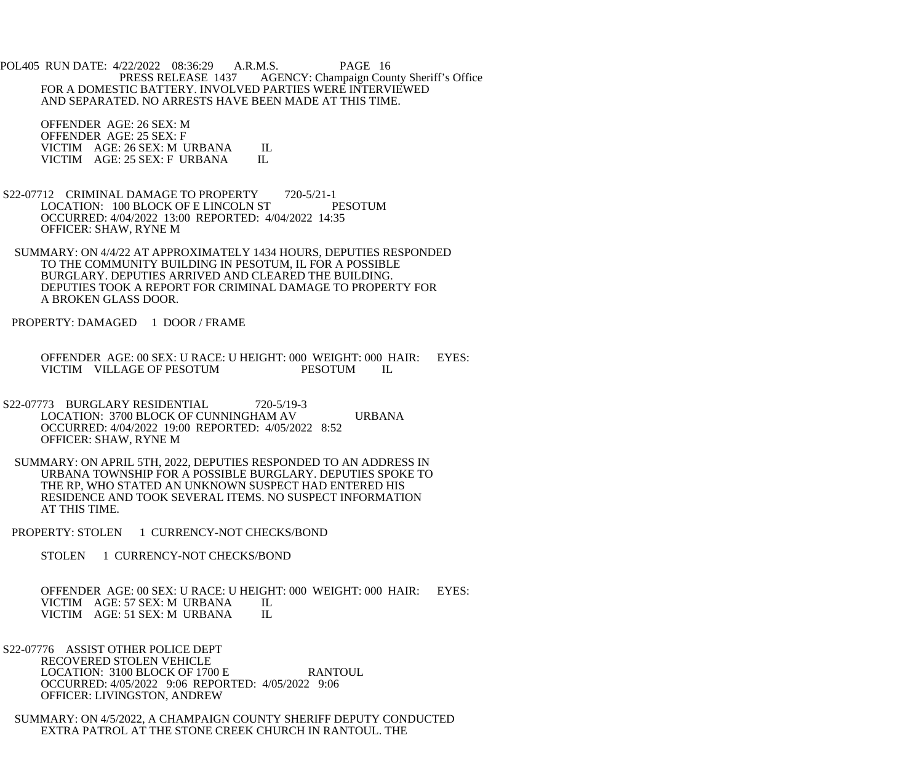POL405 RUN DATE: 4/22/2022 08:36:29 A.R.M.S. PAGE 16<br>PRESS RELEASE 1437 AGENCY: Champaign Cou AGENCY: Champaign County Sheriff's Office FOR A DOMESTIC BATTERY. INVOLVED PARTIES WERE INTERVIEWED AND SEPARATED. NO ARRESTS HAVE BEEN MADE AT THIS TIME.

 OFFENDER AGE: 26 SEX: M OFFENDER AGE: 25 SEX: F VICTIM AGE: 26 SEX: M URBANA IL<br>VICTIM AGE: 25 SEX: F URBANA IL VICTIM AGE: 25 SEX: F URBANA

- S22-07712 CRIMINAL DAMAGE TO PROPERTY 720-5/21-1 LOCATION: 100 BLOCK OF E LINCOLN ST PESOTUM OCCURRED: 4/04/2022 13:00 REPORTED: 4/04/2022 14:35 OFFICER: SHAW, RYNE M
- SUMMARY: ON 4/4/22 AT APPROXIMATELY 1434 HOURS, DEPUTIES RESPONDED TO THE COMMUNITY BUILDING IN PESOTUM, IL FOR A POSSIBLE BURGLARY. DEPUTIES ARRIVED AND CLEARED THE BUILDING. DEPUTIES TOOK A REPORT FOR CRIMINAL DAMAGE TO PROPERTY FOR A BROKEN GLASS DOOR.
- PROPERTY: DAMAGED 1 DOOR / FRAME

 OFFENDER AGE: 00 SEX: U RACE: U HEIGHT: 000 WEIGHT: 000 HAIR: EYES: VICTIM VILLAGE OF PESOTUM PESOTUM IL

- S22-07773 BURGLARY RESIDENTIAL 720-5/19-3 LOCATION: 3700 BLOCK OF CUNNINGHAM AV URBANA OCCURRED: 4/04/2022 19:00 REPORTED: 4/05/2022 8:52 OFFICER: SHAW, RYNE M
- SUMMARY: ON APRIL 5TH, 2022, DEPUTIES RESPONDED TO AN ADDRESS IN URBANA TOWNSHIP FOR A POSSIBLE BURGLARY. DEPUTIES SPOKE TO THE RP, WHO STATED AN UNKNOWN SUSPECT HAD ENTERED HIS RESIDENCE AND TOOK SEVERAL ITEMS. NO SUSPECT INFORMATION AT THIS TIME.
- PROPERTY: STOLEN 1 CURRENCY-NOT CHECKS/BOND
	- STOLEN 1 CURRENCY-NOT CHECKS/BOND

 OFFENDER AGE: 00 SEX: U RACE: U HEIGHT: 000 WEIGHT: 000 HAIR: EYES: VICTIM AGE: 57 SEX: M URBANA IL<br>VICTIM AGE: 51 SEX: M URBANA IL VICTIM AGE: 51 SEX: M URBANA

 S22-07776 ASSIST OTHER POLICE DEPT RECOVERED STOLEN VEHICLE LOCATION: 3100 BLOCK OF 1700 E RANTOUL OCCURRED: 4/05/2022 9:06 REPORTED: 4/05/2022 9:06 OFFICER: LIVINGSTON, ANDREW

 SUMMARY: ON 4/5/2022, A CHAMPAIGN COUNTY SHERIFF DEPUTY CONDUCTED EXTRA PATROL AT THE STONE CREEK CHURCH IN RANTOUL. THE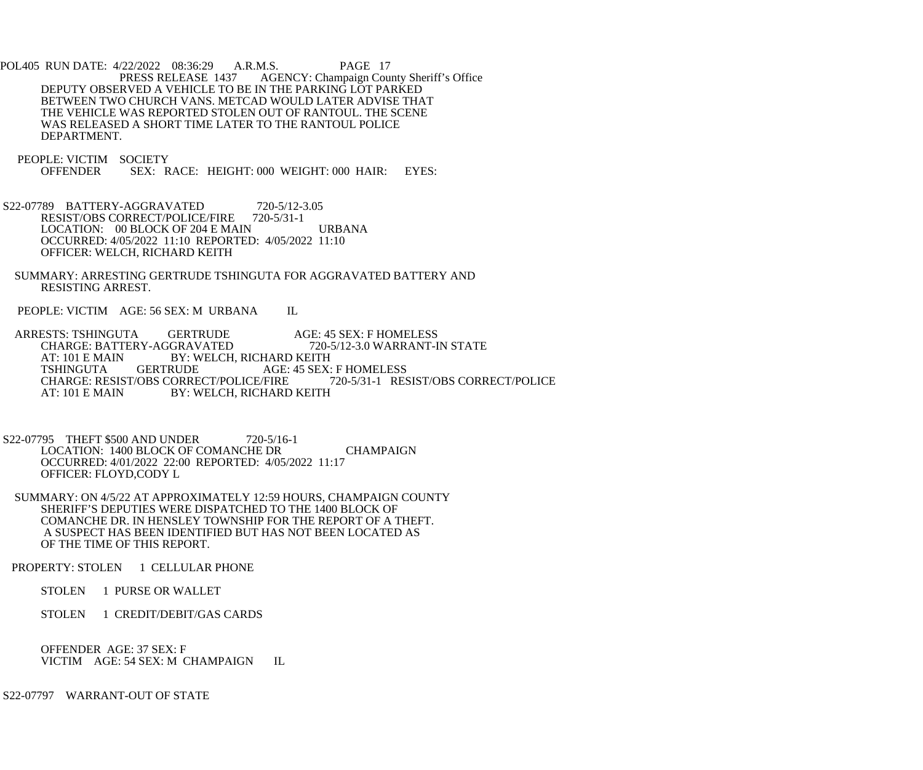POL405 RUN DATE: 4/22/2022 08:36:29 A.R.M.S. PAGE 17<br>PRESS RELEASE 1437 AGENCY: Champaign Cou AGENCY: Champaign County Sheriff's Office DEPUTY OBSERVED A VEHICLE TO BE IN THE PARKING LOT PARKED BETWEEN TWO CHURCH VANS. METCAD WOULD LATER ADVISE THAT THE VEHICLE WAS REPORTED STOLEN OUT OF RANTOUL. THE SCENE WAS RELEASED A SHORT TIME LATER TO THE RANTOUL POLICE DEPARTMENT.

PEOPLE: VICTIM SOCIETY<br>OFFENDER SEX: R SEX: RACE: HEIGHT: 000 WEIGHT: 000 HAIR: EYES:

- S22-07789 BATTERY-AGGRAVATED 720-5/12-3.05 RESIST/OBS CORRECT/POLICE/FIRE 720-5/31-1 LOCATION: 00 BLOCK OF 204 E MAIN URBANA OCCURRED: 4/05/2022 11:10 REPORTED: 4/05/2022 11:10 OFFICER: WELCH, RICHARD KEITH
- SUMMARY: ARRESTING GERTRUDE TSHINGUTA FOR AGGRAVATED BATTERY AND RESISTING ARREST.

PEOPLE: VICTIM AGE: 56 SEX: M URBANA IL

 ARRESTS: TSHINGUTA GERTRUDE AGE: 45 SEX: F HOMELESS CHARGE: BATTERY-AGGRAVATED 720-5/12-3.0 WARRANT-IN STATE AT: 101 E MAIN BY: WELCH, RICHARD KEITH AT: 101 E MAIN BY: WELCH, RICHARD KEITH<br>TSHINGUTA GERTRUDE AGE: 45 SEX: AGE: 45 SEX: F HOMELESS<br>FIRE 720-5/31-1 RESIST/OBS CORRECT/POLICE CHARGE: RESIST/OBS CORRECT/POLICE/FIRE AT: 101 E MAIN BY: WELCH, RICHARD KEITH

 S22-07795 THEFT \$500 AND UNDER 720-5/16-1 LOCATION: 1400 BLOCK OF COMANCHE DR CHAMPAIGN OCCURRED: 4/01/2022 22:00 REPORTED: 4/05/2022 11:17 OFFICER: FLOYD,CODY L

 SUMMARY: ON 4/5/22 AT APPROXIMATELY 12:59 HOURS, CHAMPAIGN COUNTY SHERIFF'S DEPUTIES WERE DISPATCHED TO THE 1400 BLOCK OF COMANCHE DR. IN HENSLEY TOWNSHIP FOR THE REPORT OF A THEFT. A SUSPECT HAS BEEN IDENTIFIED BUT HAS NOT BEEN LOCATED AS OF THE TIME OF THIS REPORT.

PROPERTY: STOLEN 1 CELLULAR PHONE

STOLEN 1 PURSE OR WALLET

STOLEN 1 CREDIT/DEBIT/GAS CARDS

 OFFENDER AGE: 37 SEX: F VICTIM AGE: 54 SEX: M CHAMPAIGN IL

S22-07797 WARRANT-OUT OF STATE